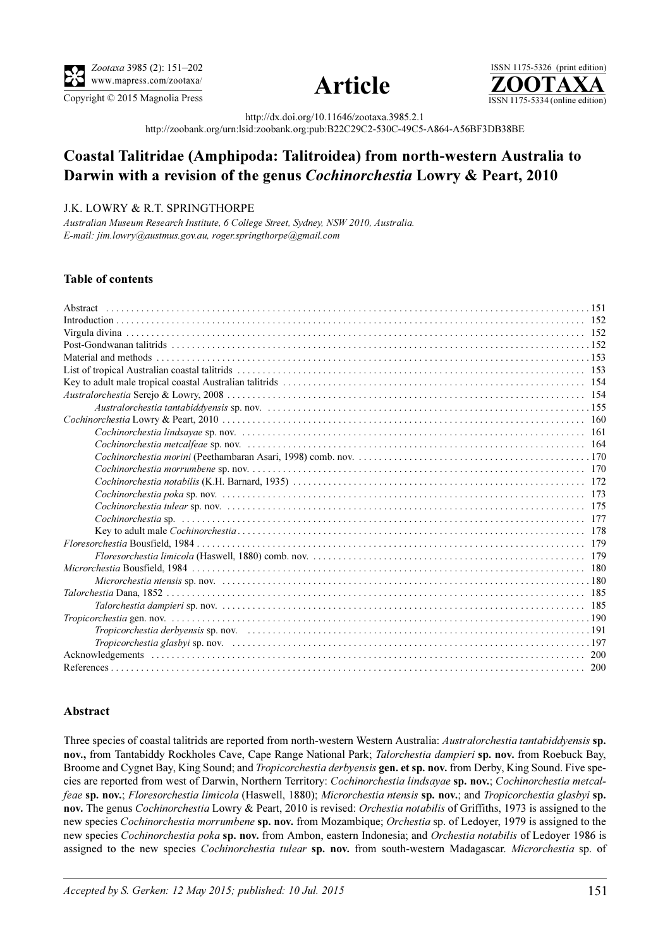

Copyright © 2015 Magnolia Press ISSN 1175-5334 (online edition)



ISSN 1175-5326 (print edition)<br> $\overline{{\bf ZOOTAXA}}$ 

http://dx.doi.org/10.11646/zootaxa.3985.2.1

http://zoobank.org/urn:lsid:zoobank.org:pub:B22C29C2-530C-49C5-A864-A56BF3DB38BE

# Coastal Talitridae (Amphipoda: Talitroidea) from north-western Australia to Darwin with a revision of the genus Cochinorchestia Lowry & Peart, 2010

## J.K. LOWRY & R.T. SPRINGTHORPE

Australian Museum Research Institute, 6 College Street, Sydney, NSW 2010, Australia. E-mail: jim.lowry@austmus.gov.au, roger.springthorpe@gmail.com

### Table of contents

| 7 Talorchestia Dana. 1852 |
|---------------------------|
|                           |
|                           |
|                           |
|                           |
|                           |
|                           |

#### <span id="page-0-0"></span>Abstract

Three species of coastal talitrids are reported from north-western Western Australia: Australorchestia tantabiddyensis sp. nov., from Tantabiddy Rockholes Cave, Cape Range National Park; Talorchestia dampieri sp. nov. from Roebuck Bay, Broome and Cygnet Bay, King Sound; and Tropicorchestia derbyensis gen. et sp. nov. from Derby, King Sound. Five species are reported from west of Darwin, Northern Territory: Cochinorchestia lindsayae sp. nov.; Cochinorchestia metcalfeae sp. nov.; Floresorchestia limicola (Haswell, 1880); Microrchestia ntensis sp. nov.; and Tropicorchestia glasbyi sp. nov. The genus Cochinorchestia Lowry & Peart, 2010 is revised: Orchestia notabilis of Griffiths, 1973 is assigned to the new species Cochinorchestia morrumbene sp. nov. from Mozambique; Orchestia sp. of Ledoyer, 1979 is assigned to the new species Cochinorchestia poka sp. nov. from Ambon, eastern Indonesia; and Orchestia notabilis of Ledoyer 1986 is assigned to the new species *Cochinorchestia tulear* sp. nov. from south-western Madagascar. *Microrchestia* sp. of